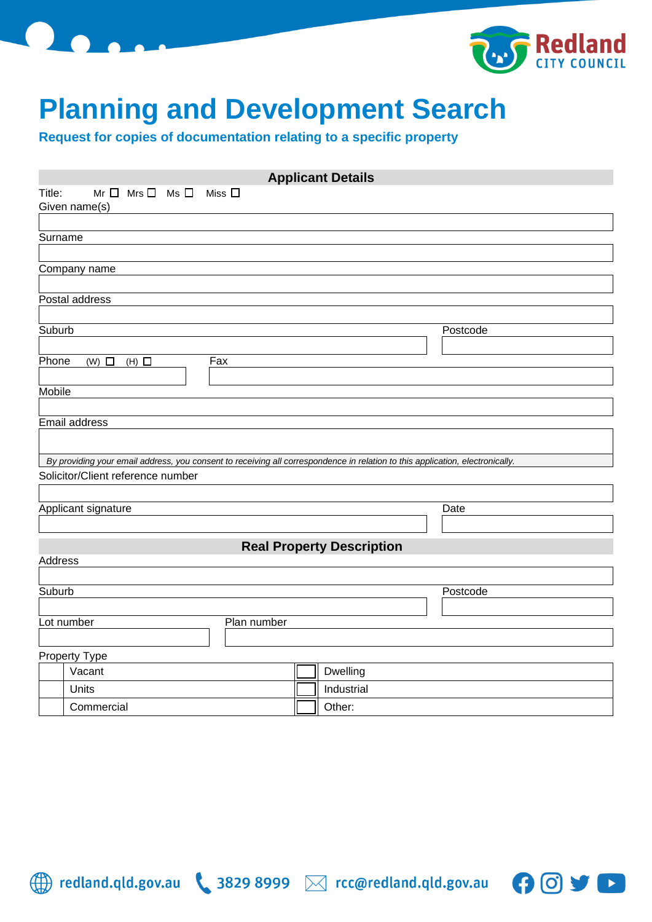



 $\mathbf{\Theta}$ 

 $\blacktriangleright$ 

## **Planning and Development Search**

**Request for copies of documentation relating to a specific property**

| <b>Applicant Details</b> |                                                                                                                               |  |                                  |  |  |  |  |  |  |
|--------------------------|-------------------------------------------------------------------------------------------------------------------------------|--|----------------------------------|--|--|--|--|--|--|
| Title:                   | $Mr \Box$ Mrs $\Box$ Ms $\Box$<br>Miss $\square$                                                                              |  |                                  |  |  |  |  |  |  |
|                          | Given name(s)                                                                                                                 |  |                                  |  |  |  |  |  |  |
| Surname                  |                                                                                                                               |  |                                  |  |  |  |  |  |  |
|                          |                                                                                                                               |  |                                  |  |  |  |  |  |  |
|                          | Company name                                                                                                                  |  |                                  |  |  |  |  |  |  |
|                          |                                                                                                                               |  |                                  |  |  |  |  |  |  |
|                          | Postal address                                                                                                                |  |                                  |  |  |  |  |  |  |
| Suburb                   |                                                                                                                               |  | Postcode                         |  |  |  |  |  |  |
|                          |                                                                                                                               |  |                                  |  |  |  |  |  |  |
| Phone                    | Fax<br>$(W)$ $\Box$<br>$(H)$ $\Box$                                                                                           |  |                                  |  |  |  |  |  |  |
|                          |                                                                                                                               |  |                                  |  |  |  |  |  |  |
| Mobile                   |                                                                                                                               |  |                                  |  |  |  |  |  |  |
|                          | Email address                                                                                                                 |  |                                  |  |  |  |  |  |  |
|                          |                                                                                                                               |  |                                  |  |  |  |  |  |  |
|                          | By providing your email address, you consent to receiving all correspondence in relation to this application, electronically. |  |                                  |  |  |  |  |  |  |
|                          | Solicitor/Client reference number                                                                                             |  |                                  |  |  |  |  |  |  |
|                          |                                                                                                                               |  |                                  |  |  |  |  |  |  |
|                          | Applicant signature                                                                                                           |  | Date                             |  |  |  |  |  |  |
|                          |                                                                                                                               |  |                                  |  |  |  |  |  |  |
|                          |                                                                                                                               |  | <b>Real Property Description</b> |  |  |  |  |  |  |
| Address                  |                                                                                                                               |  |                                  |  |  |  |  |  |  |
| Suburb                   |                                                                                                                               |  | Postcode                         |  |  |  |  |  |  |
|                          |                                                                                                                               |  |                                  |  |  |  |  |  |  |
|                          | Lot number<br>Plan number                                                                                                     |  |                                  |  |  |  |  |  |  |
|                          |                                                                                                                               |  |                                  |  |  |  |  |  |  |
|                          | <b>Property Type</b>                                                                                                          |  |                                  |  |  |  |  |  |  |
|                          | Vacant                                                                                                                        |  | Dwelling                         |  |  |  |  |  |  |
|                          | Units                                                                                                                         |  | Industrial                       |  |  |  |  |  |  |
|                          | Commercial                                                                                                                    |  | Other:                           |  |  |  |  |  |  |